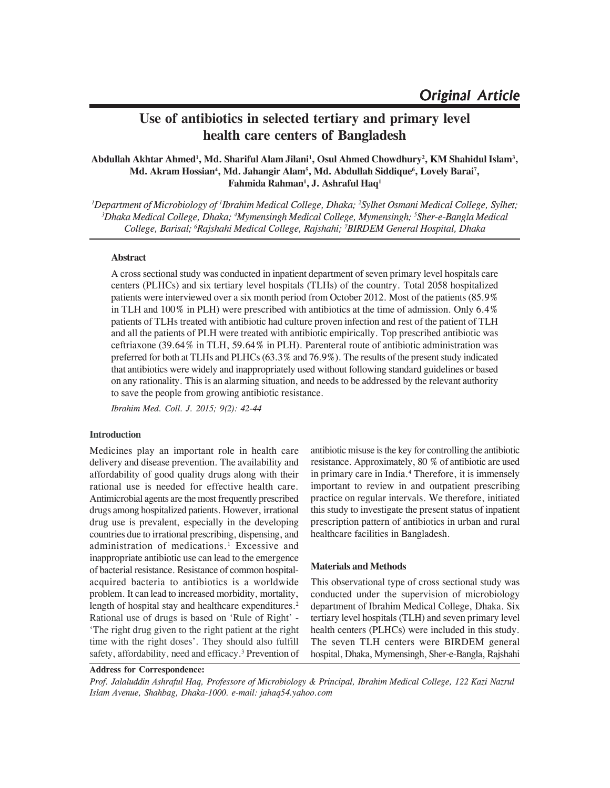# **Use of antibiotics in selected tertiary and primary level health care centers of Bangladesh**

# **Abdullah Akhtar Ahmed1 , Md. Shariful Alam Jilani1 , Osul Ahmed Chowdhury2 , KM Shahidul Islam3 , Md. Akram Hossian4 , Md. Jahangir Alam5 , Md. Abdullah Siddique6 , Lovely Barai7 , Fahmida Rahman1 , J. Ashraful Haq1**

*1 Department of Microbiology of 1 Ibrahim Medical College, Dhaka; 2 Sylhet Osmani Medical College, Sylhet; 3 Dhaka Medical College, Dhaka; 4 Mymensingh Medical College, Mymensingh; 5 Sher-e-Bangla Medical College, Barisal; 6 Rajshahi Medical College, Rajshahi; 7 BIRDEM General Hospital, Dhaka*

## **Abstract**

A cross sectional study was conducted in inpatient department of seven primary level hospitals care centers (PLHCs) and six tertiary level hospitals (TLHs) of the country. Total 2058 hospitalized patients were interviewed over a six month period from October 2012. Most of the patients (85.9% in TLH and 100% in PLH) were prescribed with antibiotics at the time of admission. Only 6.4% patients of TLHs treated with antibiotic had culture proven infection and rest of the patient of TLH and all the patients of PLH were treated with antibiotic empirically. Top prescribed antibiotic was ceftriaxone (39.64% in TLH, 59.64% in PLH). Parenteral route of antibiotic administration was preferred for both at TLHs and PLHCs (63.3% and 76.9%). The results of the present study indicated that antibiotics were widely and inappropriately used without following standard guidelines or based on any rationality. This is an alarming situation, and needs to be addressed by the relevant authority to save the people from growing antibiotic resistance.

*Ibrahim Med. Coll. J. 2015; 9(2): 42-44*

## **Introduction**

Medicines play an important role in health care delivery and disease prevention. The availability and affordability of good quality drugs along with their rational use is needed for effective health care. Antimicrobial agents are the most frequently prescribed drugs among hospitalized patients. However, irrational drug use is prevalent, especially in the developing countries due to irrational prescribing, dispensing, and administration of medications.<sup>1</sup> Excessive and inappropriate antibiotic use can lead to the emergence of bacterial resistance. Resistance of common hospitalacquired bacteria to antibiotics is a worldwide problem. It can lead to increased morbidity, mortality, length of hospital stay and healthcare expenditures.<sup>2</sup> Rational use of drugs is based on 'Rule of Right' - 'The right drug given to the right patient at the right time with the right doses'. They should also fulfill safety, affordability, need and efficacy.<sup>3</sup> Prevention of antibiotic misuse is the key for controlling the antibiotic resistance. Approximately, 80 % of antibiotic are used in primary care in India.<sup>4</sup> Therefore, it is immensely important to review in and outpatient prescribing practice on regular intervals. We therefore, initiated this study to investigate the present status of inpatient prescription pattern of antibiotics in urban and rural healthcare facilities in Bangladesh.

#### **Materials and Methods**

This observational type of cross sectional study was conducted under the supervision of microbiology department of Ibrahim Medical College, Dhaka. Six tertiary level hospitals (TLH) and seven primary level health centers (PLHCs) were included in this study. The seven TLH centers were BIRDEM general hospital, Dhaka, Mymensingh, Sher-e-Bangla, Rajshahi

**Address for Correspondence:**

*Prof. Jalaluddin Ashraful Haq, Professore of Microbiology & Principal, Ibrahim Medical College, 122 Kazi Nazrul Islam Avenue, Shahbag, Dhaka-1000. e-mail: jahaq54.yahoo.com*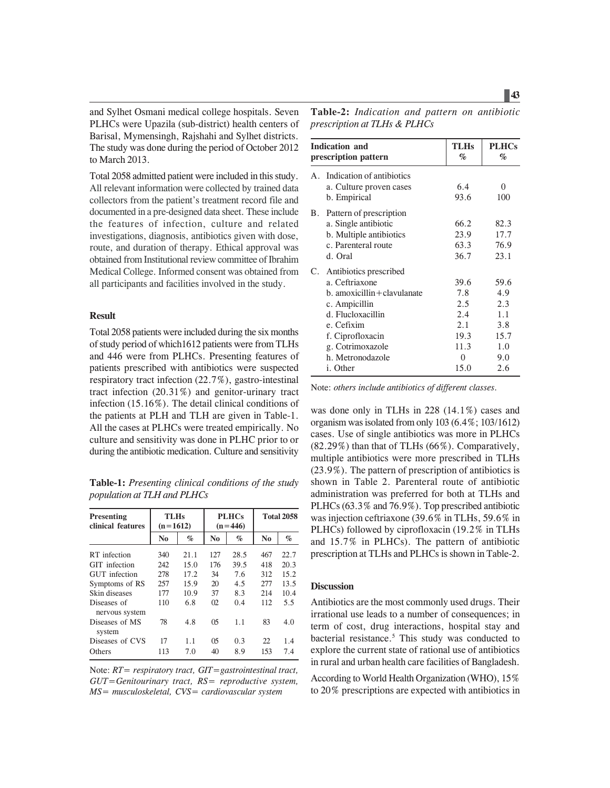and Sylhet Osmani medical college hospitals. Seven PLHCs were Upazila (sub-district) health centers of Barisal, Mymensingh, Rajshahi and Sylhet districts. The study was done during the period of October 2012 to March 2013.

Total 2058 admitted patient were included in this study. All relevant information were collected by trained data collectors from the patient's treatment record file and documented in a pre-designed data sheet. These include the features of infection, culture and related investigations, diagnosis, antibiotics given with dose, route, and duration of therapy. Ethical approval was obtained from Institutional review committee of Ibrahim Medical College. Informed consent was obtained from all participants and facilities involved in the study.

## **Result**

Total 2058 patients were included during the six months of study period of which1612 patients were from TLHs and 446 were from PLHCs. Presenting features of patients prescribed with antibiotics were suspected respiratory tract infection (22.7%), gastro-intestinal tract infection (20.31%) and genitor-urinary tract infection (15.16%). The detail clinical conditions of the patients at PLH and TLH are given in Table-1. All the cases at PLHCs were treated empirically. No culture and sensitivity was done in PLHC prior to or during the antibiotic medication. Culture and sensitivity

**Table-1:** *Presenting clinical conditions of the study population at TLH and PLHCs*

| <b>Presenting</b><br>clinical features | <b>PLHCs</b><br><b>TLHs</b><br>$(n=1612)$<br>$(n=446)$ |      |                | <b>Total 2058</b> |                |      |
|----------------------------------------|--------------------------------------------------------|------|----------------|-------------------|----------------|------|
|                                        | N <sub>0</sub>                                         | $\%$ | N <sub>0</sub> | $\%$              | N <sub>0</sub> | $\%$ |
| RT infection                           | 340                                                    | 21.1 | 127            | 28.5              | 467            | 22.7 |
| <b>GIT</b> infection                   | 242                                                    | 15.0 | 176            | 39.5              | 418            | 20.3 |
| <b>GUT</b> infection                   | 278                                                    | 17.2 | 34             | 7.6               | 312            | 15.2 |
| Symptoms of RS                         | 257                                                    | 15.9 | 20             | 4.5               | 2.77           | 13.5 |
| Skin diseases                          | 177                                                    | 10.9 | 37             | 8.3               | 214            | 10.4 |
| Diseases of<br>nervous system          | 110                                                    | 6.8  | $_{02}$        | 0.4               | 112            | 5.5  |
| Diseases of MS<br>system               | 78                                                     | 4.8  | 05             | 1.1               | 83             | 4.0  |
| Diseases of CVS                        | 17                                                     | 1.1  | 05             | 0.3               | 22             | 1.4  |
| Others                                 | 113                                                    | 7.0  | 40             | 8.9               | 153            | 7.4  |

Note: *RT= respiratory tract, GIT=gastrointestinal tract, GUT=Genitourinary tract, RS= reproductive system, MS= musculoskeletal, CVS= cardiovascular system*

| Table-2: Indication and pattern on antibiotic |  |  |
|-----------------------------------------------|--|--|
| prescription at TLHs & PLHCs                  |  |  |

| <b>Indication and</b><br>prescription pattern |                                                                                                                                                                                                      | <b>TLHs</b><br>$\%$                                                  | <b>PLHCs</b><br>$\%$                                          |
|-----------------------------------------------|------------------------------------------------------------------------------------------------------------------------------------------------------------------------------------------------------|----------------------------------------------------------------------|---------------------------------------------------------------|
| А.                                            | Indication of antibiotics<br>a. Culture proven cases<br>b. Empirical                                                                                                                                 | 6.4<br>93.6                                                          | 0<br>100                                                      |
|                                               | B. Pattern of prescription<br>a. Single antibiotic<br>b. Multiple antibiotics<br>c. Parenteral route<br>d. Oral                                                                                      | 66.2<br>23.9<br>63.3<br>36.7                                         | 82.3<br>17.7<br>76.9<br>23.1                                  |
| C.                                            | Antibiotics prescribed<br>a. Ceftriaxone<br>b. amoxicillin + clavulanate<br>c. Ampicillin<br>d. Flucloxacillin<br>e. Cefixim<br>f. Ciprofloxacin<br>g. Cotrimoxazole<br>h. Metronodazole<br>i. Other | 39.6<br>7.8<br>2.5<br>2.4<br>2.1<br>19.3<br>11.3<br>$\theta$<br>15.0 | 59.6<br>4.9<br>2.3<br>1.1<br>3.8<br>15.7<br>1.0<br>9.0<br>2.6 |

Note: *others include antibiotics of different classes.*

was done only in TLHs in 228 (14.1%) cases and organism was isolated from only 103 (6.4%; 103/1612) cases. Use of single antibiotics was more in PLHCs  $(82.29\%)$  than that of TLHs  $(66\%)$ . Comparatively, multiple antibiotics were more prescribed in TLHs (23.9%). The pattern of prescription of antibiotics is shown in Table 2. Parenteral route of antibiotic administration was preferred for both at TLHs and PLHCs (63.3% and 76.9%). Top prescribed antibiotic was injection ceftriaxone (39.6% in TLHs, 59.6% in PLHCs) followed by ciprofloxacin (19.2% in TLHs and 15.7% in PLHCs). The pattern of antibiotic prescription at TLHs and PLHCs is shown in Table-2.

# **Discussion**

Antibiotics are the most commonly used drugs. Their irrational use leads to a number of consequences; in term of cost, drug interactions, hospital stay and bacterial resistance.<sup>5</sup> This study was conducted to explore the current state of rational use of antibiotics in rural and urban health care facilities of Bangladesh.

According to World Health Organization (WHO), 15% to 20% prescriptions are expected with antibiotics in